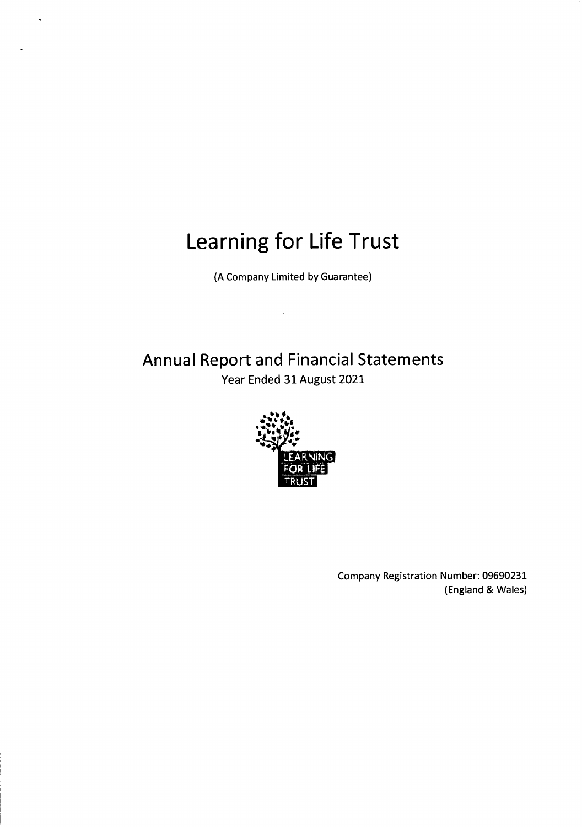$\ddot{\phantom{0}}$ 

(A Company Limited by Guarantee)

Annual Report and Financial Statements Year Ended 31 August 2021



Company Registration Number: 09690231 (England & Wales)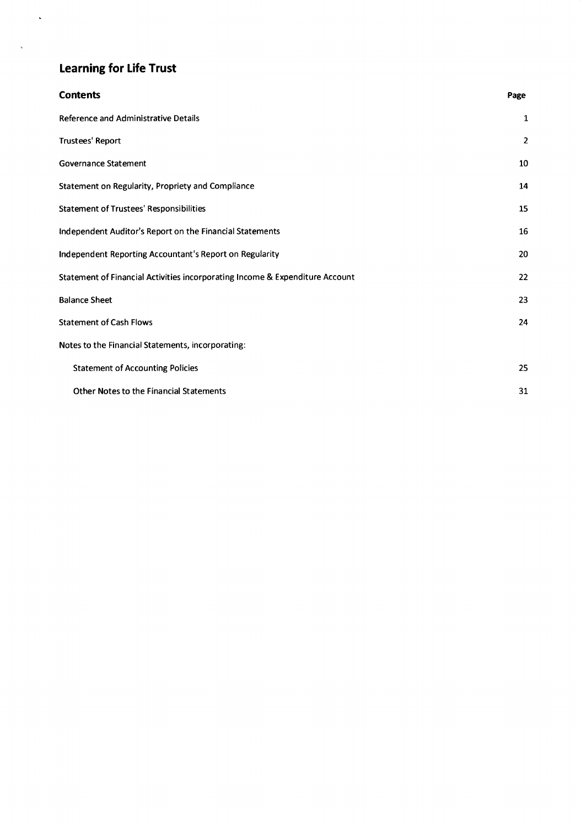$\mathcal{L}_{\mathcal{A}}$ 

 $\sim$   $\sim$ 

| <b>Contents</b>                                                              | Page           |
|------------------------------------------------------------------------------|----------------|
| <b>Reference and Administrative Details</b>                                  | 1              |
| <b>Trustees' Report</b>                                                      | $\overline{2}$ |
| Governance Statement                                                         | 10             |
| Statement on Regularity, Propriety and Compliance                            | 14             |
| <b>Statement of Trustees' Responsibilities</b>                               | 15             |
| Independent Auditor's Report on the Financial Statements                     | 16             |
| Independent Reporting Accountant's Report on Regularity                      | 20             |
| Statement of Financial Activities incorporating Income & Expenditure Account | 22             |
| <b>Balance Sheet</b>                                                         | 23             |
| <b>Statement of Cash Flows</b>                                               | 24             |
| Notes to the Financial Statements, incorporating:                            |                |
| <b>Statement of Accounting Policies</b>                                      | 25             |
| <b>Other Notes to the Financial Statements</b>                               | 31             |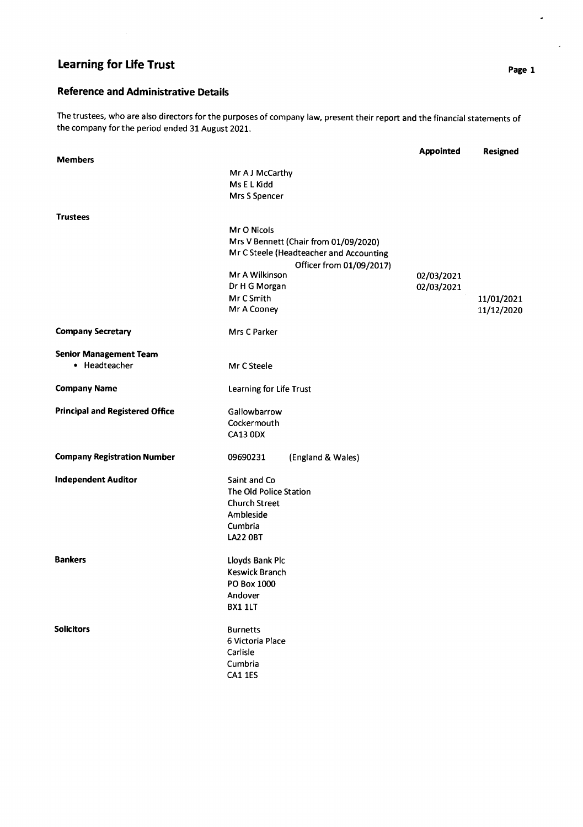# Reference and Administrative Details

The trustees, who are also directors for the purposes of company law, present their report and the financial statements of the company forthe period ended 31 August 2021.

|                                        |                                         | <b>Appointed</b> | <b>Resigned</b> |
|----------------------------------------|-----------------------------------------|------------------|-----------------|
| <b>Members</b>                         |                                         |                  |                 |
|                                        | Mr A J McCarthy                         |                  |                 |
|                                        | Ms E L Kidd                             |                  |                 |
|                                        | Mrs S Spencer                           |                  |                 |
| <b>Trustees</b>                        |                                         |                  |                 |
|                                        | Mr O Nicols                             |                  |                 |
|                                        | Mrs V Bennett (Chair from 01/09/2020)   |                  |                 |
|                                        | Mr C Steele (Headteacher and Accounting |                  |                 |
|                                        | Officer from 01/09/2017)                |                  |                 |
|                                        | Mr A Wilkinson                          | 02/03/2021       |                 |
|                                        | Dr H G Morgan                           | 02/03/2021       |                 |
|                                        | Mr C Smith                              |                  | 11/01/2021      |
|                                        | Mr A Cooney                             |                  | 11/12/2020      |
| <b>Company Secretary</b>               | Mrs C Parker                            |                  |                 |
| <b>Senior Management Team</b>          |                                         |                  |                 |
| • Headteacher                          | Mr C Steele                             |                  |                 |
|                                        |                                         |                  |                 |
| <b>Company Name</b>                    | Learning for Life Trust                 |                  |                 |
| <b>Principal and Registered Office</b> | Gallowbarrow                            |                  |                 |
|                                        | Cockermouth                             |                  |                 |
|                                        | <b>CA13 0DX</b>                         |                  |                 |
| <b>Company Registration Number</b>     | 09690231<br>(England & Wales)           |                  |                 |
| <b>Independent Auditor</b>             | Saint and Co                            |                  |                 |
|                                        | The Old Police Station                  |                  |                 |
|                                        | <b>Church Street</b>                    |                  |                 |
|                                        | Ambleside                               |                  |                 |
|                                        | Cumbria                                 |                  |                 |
|                                        | <b>LA22 0BT</b>                         |                  |                 |
| <b>Bankers</b>                         | Lloyds Bank Plc                         |                  |                 |
|                                        | Keswick Branch                          |                  |                 |
|                                        | PO Box 1000                             |                  |                 |
|                                        | Andover                                 |                  |                 |
|                                        | BX1 1LT                                 |                  |                 |
| <b>Solicitors</b>                      | <b>Burnetts</b>                         |                  |                 |
|                                        | 6 Victoria Place                        |                  |                 |
|                                        | Carlisle                                |                  |                 |
|                                        | Cumbria                                 |                  |                 |
|                                        | <b>CA1 1ES</b>                          |                  |                 |
|                                        |                                         |                  |                 |

 $\hat{\mathcal{L}}$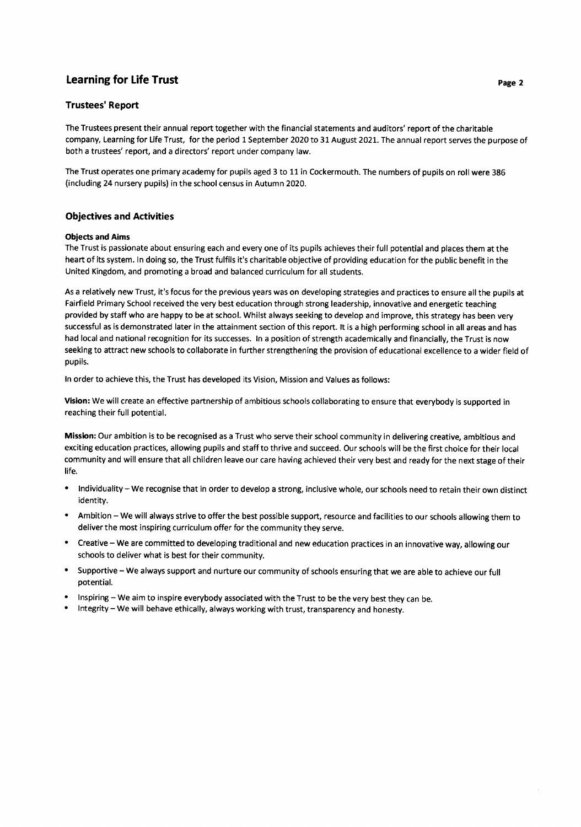#### **Trustees' Report**

The Trustees present their annual report together with the financial statements and auditors' report of the charitable company, Learning for Life Trust, for the period 1 September 2020 to 31 August 2021. The annual report serves the purpose of both a trustees' report, and a directors' report under company law.

The Trust operates one primary academy for pupils aged 3 to 11 in Cockermouth. The numbers of pupils on roll were 386 (including 24 nursery pupils) in the school census in Autumn 2020.

#### Objectives and Activities

#### Obiects and Aims

The Trust is passionate about ensuring each and every one of its pupils achieves their full potential and places them at the heart of its system. ln doing so, the Trust fulfils it's charitable objective of providing education for the public benefit in the United Kingdom, and promoting a broad and balanced curriculum for all students.

As a relatively new Trust, it's focus for the previous years was on developing strategies and practices to ensure all the pupils at Fairfield Primary School received the very best education through strong leadership, innovative and energetic teaching provided by staff who are happy to be at school. Whilst always seeking to develop and improve, this strategy has been very successful as is demonstrated later in the attainment section of this report. lt is a high performing school in all areas and has had local and national recognition for its successes. ln a position of strength academically and financially, the Trust is now seeking to attract new schools to collaborate in further strengthening the provision of educational excellence to a wider field of pupils.

ln order to achieve this, the Trust has developed its Vision, Mission and Values as follows:

Vision: We will create an effective partnership of ambitious schools collaborating to ensure that everybody is supported in reaching their full potential.

Mission: Our ambition is to be recognised as a Trust who serve their school community in delivering creative, ambitious and exciting education practices, allowing pupils and staff to thrive and succeed. Our schools will be the first choice for their local community and will ensure that all children leave our care having achieved their very best and ready for the next stage of their life.

- Individuality We recognise that in order to develop a strong, inclusive whole, our schools need to retain their own distinct identity.
- Ambition We will always strive to offer the best possible support, resource and facilities to our schools allowing them to deliver the most inspiring curriculum offer for the community they serve.
- Creative We are committed to developing traditional and new education practices in an innovative way, allowing our schools to deliver what is best for their community.
- ' Supportive We always support and nurture our community of schools ensuring that we are able to achieve our full potential.
- Inspiring We aim to inspire everybody associated with the Trust to be the very best they can be.<br>Integrity We will behave ethically, always working with trust, transparency and honesty.
-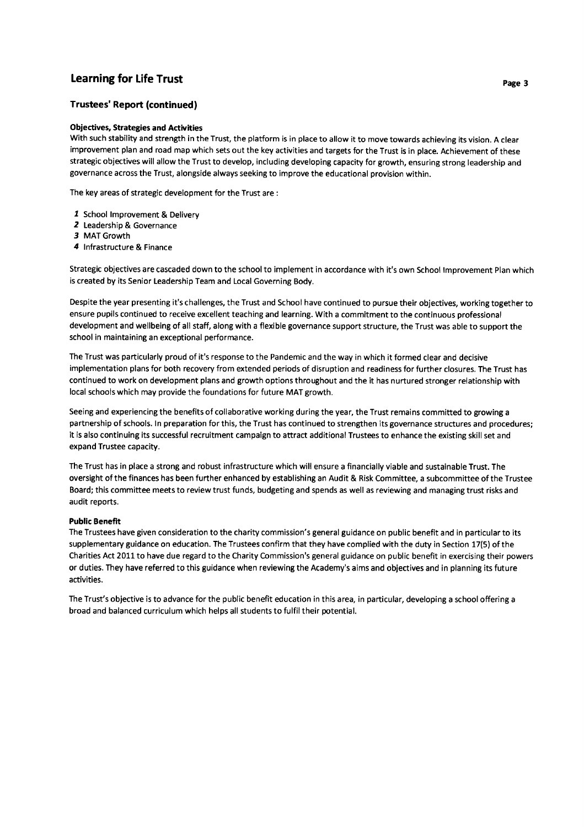### Trustees' Report (continued)

#### **Objectives, Strategies and Activities**

With such stability and strength in the Trust, the platform is in place to allow it to move towards achieving its vision. A clear improvement plan and road map which sets out the key activities and targets for the Trust is in place. Achievement of these strategic objectives will allow the Trust to develop, including developing capacity for growth, ensuring strong leadership and governance across the Trust, alongside always seeking to improve the educational provision within.

The key areas of strategic development for the Trust are :

- I School lmprovement & Delivery
- 2 Leadership & Governance
- 3 MAT Growth
- 4 lnfrastructure & Finance

Strategic objectives are cascaded down to the school to implement in accordance with it's own School lmprovement Plan which is created by its Senior Leadership Team and Local Governing Body.

Despite the year presenting it's challenges, the Trust and School have continued to pursue their objectives, working together to ensure pupils continued to receive excellent teaching and learning. With a commitment to the continuous professional development and wellbeing of all staff, along with a flexible governance support structure, the Trust was able to support the school in maintaining an exceptional performance.

The Trust was particularly proud of it's response to the Pandemic and the way in which it formed clear and decisive implementation plans for both recovery from extended periods of disruption and readiness for further closures. The Trust has continued to work on development plans and growth options throughout and the it has nurtured stronger relationship with local schools which may provide the foundations for future MAT growth.

Seeing and experiencing the benefits of collaborative working during the year, the Trust remains committed to growing <sup>a</sup> partnership of schools. ln preparation for this, the Trust has continued to strengthen its governance structures and procedures; it is also continuing its successful recruitment campaign to attract additional Trustees to enhance the existing skill set and expand Trustee capacity.

The Trust has in place a strong and robust infrastructure which will ensure a financially viable and sustainable Trust. The oversight of the finances has been further enhanced by establishing an Audit & Risk Committee, a subcommittee of the Trustee Board; this committee meets to review trust funds, budgeting and spends as well as reviewing and managing trust risks and audit reports.

#### Public Benefit

The Trustees have given consideration to the charity commission's general guidance on public benefit and in particular to its supplementary guidance on education. The Trustees confirm that they have complied with the duty in Section 17(5) of the Charities Act 2011to have due regard to the Charity Commission's general guidance on public benefit in exercising their powers or duties, They have referred to this guidance when reviewing the Academy's aims and objectives and in planning its future activities.

The Trust's objective is to advance for the public benefit education in this area, in particular, developing a school offering <sup>a</sup> broad and balanced curriculum which helps all students to fulfil their potential.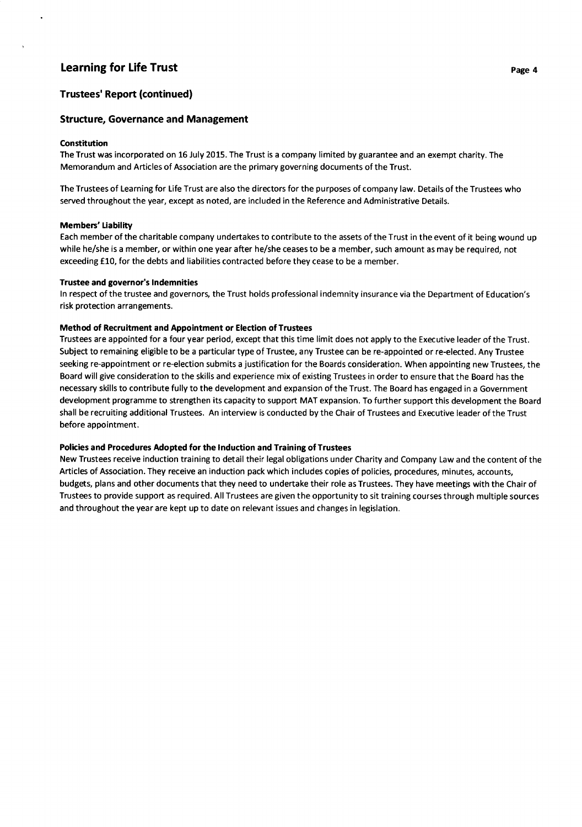#### Trustees' Report (continued)

#### Structure, Governance and Management

#### Constitution

The Trust was incorporated on 16 July 2015. The Trust is a company limited by guarantee and an exempt charity. The Memorandum and Articles of Association are the primary governing documents of the Trust.

The Trustees of Learning for Life Trust are also the directors for the purposes of company law. Details of the Trustees who served throughout the year, except as noted, are included in the Reference and Administrative Details.

#### Members' tiability

Each member of the charitable company undertakes to contribute to the assets of the Trust in the event of it being wound up while he/she is a member, or within one year after he/she ceases to be a member, such amount as may be required, not exceeding £10, for the debts and liabilities contracted before they cease to be a member.

#### Trustee and governor's lndemnities

ln respect of the trustee and governors, the Trust holds professional indemnity insurance via the Department of Education's risk protection arrangements.

#### Method of Recruitment and Appointment or Election of Trustees

Trustees are appointed for a four year period, except that this time limit does not apply to the Executive leader of the Trust. Subject to remaining eligible to be a particular type of Trustee, any Trustee can be re-appointed or re-elected. Any Trustee seeking re-appointment or re-election submits a justification for the Boards consideration. When appointing new Trustees, the Board will give consideration to the skills and experience mix of existing Trustees in order to ensure that the Board has the necessary skills to contribute fully to the development and expansion of the Trust. The Board has engaged in a Government development programme to strengthen its capacity to support MAT expansion. To further support this development the Board shall be recruiting additional Trustees. An interview is conducted by the Chair of Trustees and Executive leader of the Trust before appointment.

#### Policies and Procedures Adopted for the lnduction and Training of Trustees

New Trustees receive induction training to detail their legal obligations under Charity and Company Law and the content of the Articles of Association. They receive an induction pack which includes copies of policies, procedures, minutes, accounts, budgets, plans and other documents that they need to undertake their role as Trustees. They have meetings with the Chair of Trustees to provide support as required. All Trustees are given the opportunity to sit training courses through multiple sources and throughout the year are kept up to date on relevant issues and changes in legislation.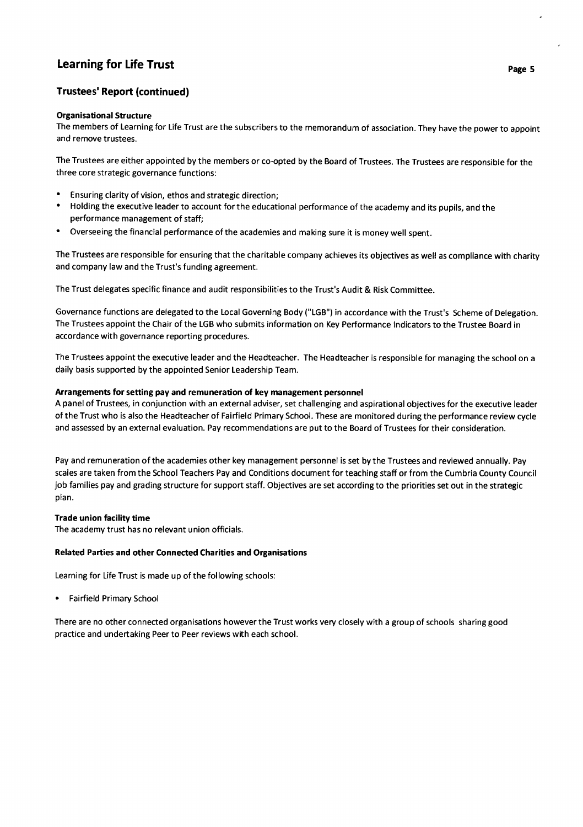### Trustees' Report (continued)

#### Organisationa! Structure

The members of Learning for Life Trust are the subscribers to the memorandum of association. They have the power to appoint and remove trustees.

The Trustees are either appointed by the members or co-opted by the Board of Trustees. The Trustees are responsible for the three core strategic governance functions:

- . Ensuring clarity of vision, ethos and strategic direction;
- ' Holding the executive leader to account for the educational performance of the academy and its pupils, and the performance management of staff;
- ' Overseeing the financial performance of the academies and making sure it is money well spent.

The Trustees are responsible for ensuring that the charitable company achieves its objectives as well as compliance with charity and company law and the Trust's funding agreement.

The Trust delegates specific finance and audit responsibilities to the Trust's Audit & Risk Committee.

Governance functions are delegated to the Local Governing Body ("LGB") in accordance with the Trust's Scheme of Delegation. The Trustees appoint the Chair of the LGB who submits information on Key Performance lndicators to the Trustee Board in accordance with governance reporting procedures.

The Trustees appoint the executive leader and the Headteacher. The Headteacher is responsible for managing the school on a daily basis supported by the appointed Senior Leadership Team.

#### Arrangements for setting pay and remuneration of key management personnel

A panel of Trustees, in conjunction with an external adviser, set challenging and aspirational objectives for the executive leader of the Trust who is also the Headteacher of Fairfield Primary School. These are monitored during the performance review cycle and assessed by an external evaluation. Pay recommendations are put to the Board of Trustees for their consideration.

Pay and remuneration of the academies other key management personnel is set by the Trustees and reviewed annually. Pay scales are taken from the School Teachers Pay and Conditions document for teaching staff or from the Cumbria County Council job families pay and grading structure for support staff. Objectives are set according to the priorities set out in the strategic plan.

#### Trade union facility time

The academy trust has no relevant union officials.

#### Related Parties and other Connected Charities and Organisations

Learning for Life Trust is made up of the following schools:

. Fairfield Primary School

There are no other connected organisations however the Trust works very closely with a group of schools sharing good practice and undertaking Peer to Peer reviews with each school.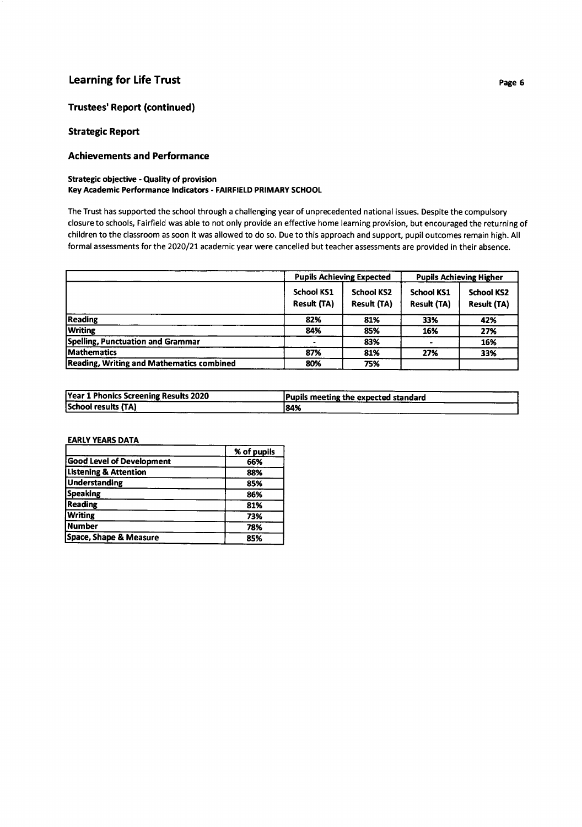#### Trustees' Report (continued)

#### Strategic Report

#### Achievements a nd Performance

#### Strategic objective - Quality of provision Key Academic Performance lndicators - FAIRFIELD PRIMARY SCHOOL

The Trust has supported the school through a challenging year of unprecedented national issues. Despite the compulsory closure to schools, Fairfield was able to not only provide an effective home learning provision, but encouraged the returning of children to the classroom as soon it was allowed to do so. Due to this approach and support, pupil outcomes remain high. All formal assessments for the 2020/21 academic year were cancelled but teacher assessments are provided in their absence.

|                                           | <b>Pupils Achieving Expected</b>        |                                         | <b>Pupils Achieving Higher</b>          |                                         |
|-------------------------------------------|-----------------------------------------|-----------------------------------------|-----------------------------------------|-----------------------------------------|
|                                           | <b>School KS1</b><br><b>Result (TA)</b> | <b>School KS2</b><br><b>Result (TA)</b> | <b>School KS1</b><br><b>Result (TA)</b> | <b>School KS2</b><br><b>Result (TA)</b> |
| <b>Reading</b>                            | 82%                                     | 81%                                     | 33%                                     | 42%                                     |
| <b>Writing</b>                            | 84%                                     | 85%                                     | 16%                                     | 27%                                     |
| Spelling, Punctuation and Grammar         |                                         | 83%                                     |                                         | 16%                                     |
| <b>Mathematics</b>                        | 87%                                     | 81%                                     | 27%                                     | 33%                                     |
| Reading, Writing and Mathematics combined | 80%                                     | 75%                                     |                                         |                                         |

| Year 1 Phonics Screening Results 2020 | Pupils meeting the expected standard |
|---------------------------------------|--------------------------------------|
| <b>School results (TA)</b>            | 184%                                 |

#### **EARLY YEARS DATA**

|                                  | % of pupils |
|----------------------------------|-------------|
| Good Level of Development        | 66%         |
| <b>Listening &amp; Attention</b> | 88%         |
| <b>Understanding</b>             | 85%         |
| <b>Speaking</b>                  | 86%         |
| Reading                          | 81%         |
| <b>Writing</b>                   | 73%         |
| Number                           | 78%         |
| Space, Shape & Measure           | 85%         |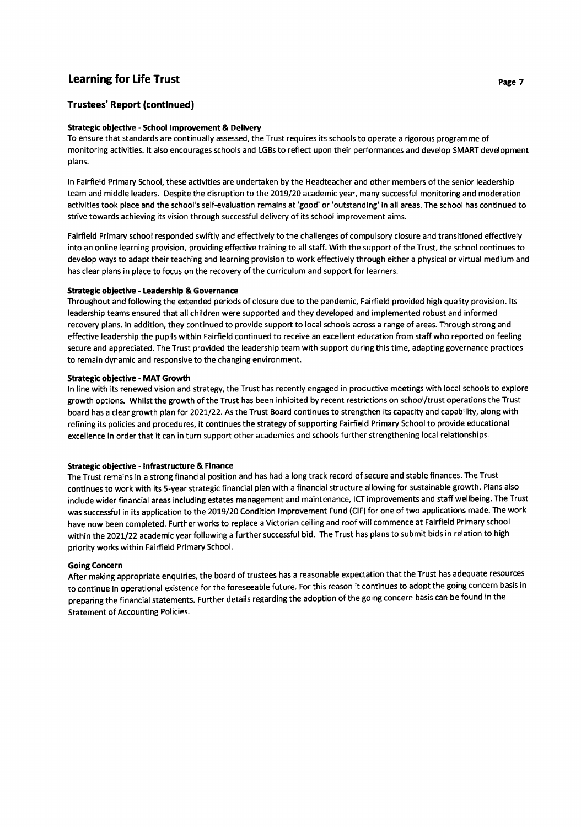#### Trustees' Report (continued)

#### Strategic obiective - School lmprovement & Delivery

To ensure that standards are continually assessed, the Trust requires its schools to operate a rigorous programme of monitoring activities. lt also encourages schools and LGBs to reflect upon their performances and develop SMART development plans.

ln Fairfield Primary School, these activities are undertaken by the Headteacher and other members of the senior leadership team and middle leaders. Despite the disruption to the 2019/20 academic year, many successful monitoring and moderation activities took place and the school's self-evaluation remains at'good' or 'outstanding' in all areas. The school has continued to strive towards achieving its vision through successful delivery of its school improvement aims.

Fairfield Primary school responded swiftly and effectively to the challenges of compulsory closure and transitioned effectively into an online learning provision, providing effective training to all staff. With the support of the Trust, the school continues to develop ways to adapt their teaching and learning provision to work effectively through either a physical or virtual medium and has clear plans in place to focus on the recovery of the curriculum and support for learners.

#### Strategic objective - Leadership & Governance

Throughout and following the extended periods of closure due to the pandemic, Fairfield provided high quality provision. lts leadership teams ensured that all children were supported and they developed and implemented robust and informed recovery plans. ln addition, they continued to provide support to local schools across a range of areas. Through strong and effective leadership the pupils within Fairfield continued to receive an excellent education from staff who reported on feeling secure and appreciated. The Trust provided the leadership team with support during this time, adapting governance practices to remain dynamic and responsive to the changing environment.

#### Strategic objective - MAT Growth

ln line with its renewed vision and strategy, the Trust has recently engaged in productive meetings with local schools to explore growth options. Whilst the growth of the Trust has been inhibited by recent restrictions on school/trust operations the Trust board has a clear growth plan for 2027122. As the Trust Board continues to strengthen its capacity and capability, along with refining its policies and procedures, it continues the strategy of supporting Fairfield Primary School to provide educational excellence in order that it can in turn support other academies and schools further strengthening local relationships.

#### Strategic obiective - lnfrastructure & Finance

The Trust remains in a strong financial position and has had a long track record of secure and stable finances. The Trust continues to work with its s-year strategic financial plan with a financial structure allowing for sustainable growth. Plans also include wider financial areas including estates management and maintenance, ICT improvements and staff wellbeing. The Trust was successful in its application to the 2019/20 Condition Improvement Fund (CIF) for one of two applications made. The work have now been completed. Further works to replace a Victorian ceiling and roof will commence at Fairfield Primary school within the 2021/22 academic year following a further successful bid. The Trust has plans to submit bids in relation to high priority works within Fairfield Primary School.

#### Going Concern

After making appropriate enquiries, the board of trustees has a reasonable expectation that the Trust has adequate resources to continue in operational existence for the foreseeable future. For this reason it continues to adopt the going concern basis in preparing the financial statements. Further details regarding the adoption of the going concern basis can be found in the Statement of Accounting Policies.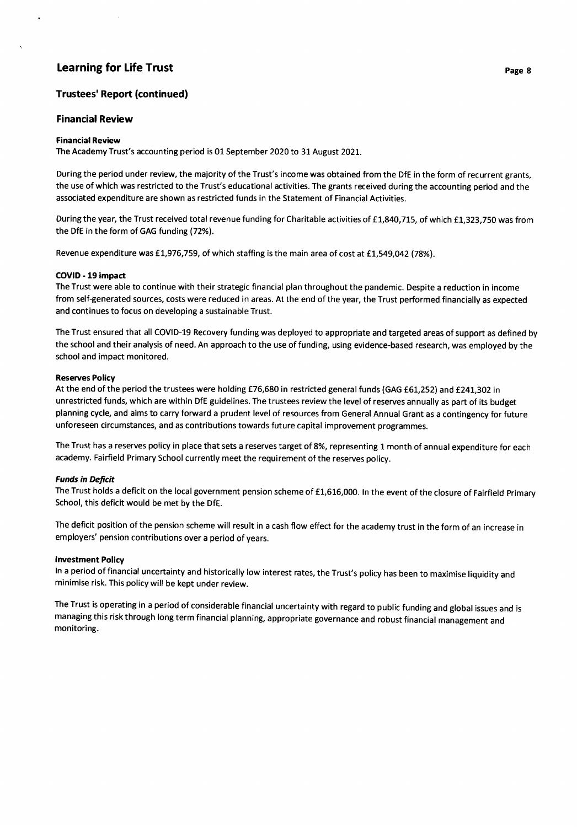#### Trustees' Report (continued)

#### **Financial Review**

#### Financial Review

 $\bullet$ 

The Academy Trust's accounting period is 01 September 2020 to 31 August 2021.

During the period under review, the majority of the Trust's income was obtained from the DfE in the form of recurrent grants, the use of which was restricted to the Trust's educational activities. The grants received during the accounting period and the associated expenditure are shown as restricted funds in the Statement of Financial Activities.

During the year, the Trust received total revenue funding for Charitable activities of £1,840,715, of which £1,323,750 was from the DfE in the form of GAG funding (72%).

Revenue expenditure was £1,976,759, of which staffing is the main area of cost at £1,549,042 (78%).

#### COVID - 19 impact

The Trust were able to continue with their strategic financial plan throughout the pandemic. Despite a reduction in income from self-generated sources, costs were reduced in areas. At the end of the year, the Trust performed financially as expected and continues to focus on developing a sustainable Trust.

TheTrust ensured that all COVID-19 Recovery funding was deployed to appropriate and targeted areas ofsupport as defined by the school and their analysis of need. An approach to the use of funding, using evidence-based research, was employed by the school and impact monitored.

#### Reserves Policy

At the end of the period the trustees were holding £76,680 in restricted general funds (GAG £61,252) and £241,302 in unrestricted funds, which are within DfE guidelines. The trustees review the level of reserves annually as part of its budget planning cycle, and aims to carry foruvard a prudent level of resources from General Annual Grant as a contingency for future unforeseen circumstances, and as contributions towards future capital improvement programmes.

The Trust has a reserves policy in place that sets a reserves target of 8%, representing 1 month of annual expenditure for each academy. Fairfield Primary School currently meet the requirement of the reserves policy.

#### Funds in Deficit

The Trust holds a deficit on the local government pension scheme of £1,616,000. In the event of the closure of Fairfield Primary School, this deficit would be met by the DfE.

The deficit position of the pension scheme will result in a cash flow effect for the academy trust in the form of an increase in employers' pension contributions over a period of years.

#### lnvestment Poliry

ln a period of financial uncertainty and historically low interest rates, the Trust's policy has been to maximise liquidity and minimise risk. This policy will be kept under review.

The Trust is operating in a period of considerable financial uncertainty with regard to public funding and global issues and is managing this risk through long term financial planning, appropriate governance and robust financial management and monitoring.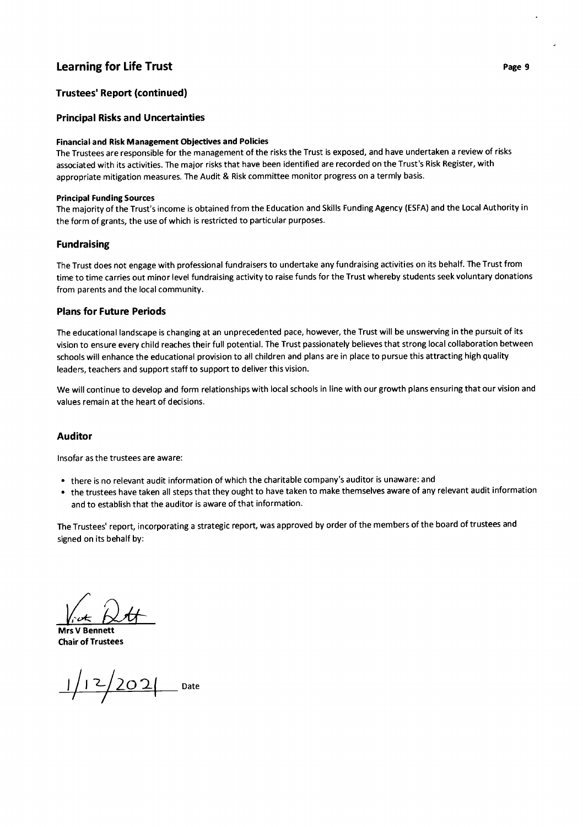#### Trustees' Report (continued)

#### Principal Risks and Uncertainties

#### Financial and Risk Management Obiectives and Policies

The Trustees are responsible for the management of the risks the Trust is exposed, and have undertaken a review of risks associated with its activities. The major risks that have been identified are recorded on the Trust's Risk Register, with appropriate mitigation measures. The Audit & Risk committee monitor progress on a termly basis.

#### Principal Funding Sources

The majority of the Trust's income is obtained from the Education and Skills Funding Agency (ESFA) and the Local Authority in the form of grants, the use of which is restricted to particular purposes.

#### Fundraising

The Trust does not engage with professional fundraisers to undertake any fundraising activities on its behalf. The Trust from time to time carries out minor level fundraising activity to raise funds for the Trust whereby students seek voluntary donations from parents and the local community.

#### Plans for Future Periods

The educational landscape is changing at an unprecedented pace, however, the Trust will be unswerving in the pursuit of its vision to ensure every child reaches their full potential. The Trust passionately believes that strong local collaboration between schools will enhance the educational provision to all children and plans are in place to pursue this attracting high quality leaders, teachers and support staff to support to deliver this vision.

We will continue to develop and form relationships with local schools in line with our growth plans ensuring that our vision and values remain at the heart of decisions.

#### Auditor

lnsofar as the trustees are aware:

- . there is no relevant audit information of which the charitable company's auditor is unaware: and
- . the trustees have taken all steps that they ought to have taken to make themselves aware of any relevant audit information and to establish that the auditor is aware of that information.

The Trustees' report, incorporating a strategic report, was approved by order of the members of the board of trustees and signed on its behalf by:

 $\sqrt{\det\left\{\lambda t\right\}}$ 

Mrs V Bennett Chair of Trustees

 $1/12/202$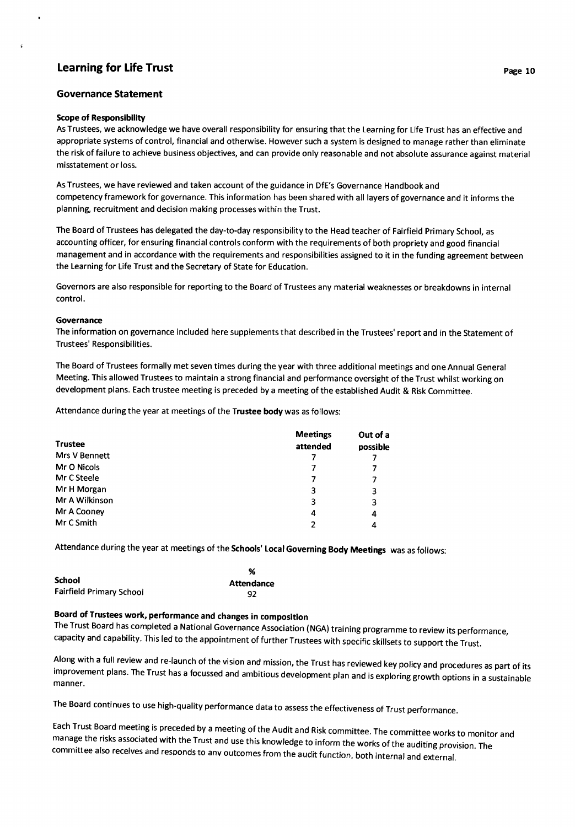#### Governance Statement

#### Scope of Responsibility

 $\ddot{\phantom{0}}$ 

As Trustees, we acknowledge we have overall responsibility for ensuring that the Learning for Life Trust has an effective and appropriate systems of control, financial and otherwise. However such a system is designed to manage rather than eliminate the risk of failure to achieve business objectives, and can provide only reasonable and not absolute assurance against material misstatement or loss.

As Trustees, we have reviewed and taken account of the guidance in DfE's Governance Handbook and competency framework for governance. This information has been shared with all layers of governance and it informs the planning, recruitment and decision making processes within the Trust.

The Board of Trustees has delegated the day-to-day responsibility to the Head teacher of Fairfield Primary School, as accounting officer, for ensuring financial controls conform with the requirements of both propriety and good financial management and in accordance with the requirements and responsibilities assigned to it in the funding agreement between the Learning for Life Trust and the Secretary of State for Education.

Governors are also responsible for reporting to the Board of Trustees any material weaknesses or breakdowns in internal control.

#### Governance

The information on governance included here supplements that described in the Trustees' report and in the Statement of Trustees' Responsibilities.

The Board of Trustees formally met seven times during the year with three additional meetings and one Annual General Meeting. This allowed Trustees to maintain a strong financial and performance oversight of the Trust whilst working on development plans. Each trustee meeting is preceded by a meeting of the established Audit & Risk Committee.

Attendance during the year at meetings of the Trustee body was as follows:

| <b>Trustee</b>       | <b>Meetings</b><br>attended | Out of a<br>possible |
|----------------------|-----------------------------|----------------------|
| <b>Mrs V Bennett</b> |                             |                      |
| Mr O Nicols          |                             |                      |
| Mr C Steele          |                             | 7                    |
| Mr H Morgan          | 3                           | 3                    |
| Mr A Wilkinson       | 3                           | 3                    |
| Mr A Cooney          | 4                           | 4                    |
| Mr C Smith           | 2                           | 4                    |

Attendance during the year at meetings of the Schools' Local Governing Body Meetings was as follows:

|                                 | %          |
|---------------------------------|------------|
| <b>School</b>                   | Attendance |
| <b>Fairfield Primary School</b> | 92         |

# Board of Trustees work, performance and changes in composition

The Trust Board has completed a National Governance Association (NGA) training programme to review its performance, capacity and capability. This led to the appointment of further Trustees with specific skillsets to support the Trust.

Along with a full review and re-launch of the vision and mission, the Trust has reviewed key policy and procedures as part of its<br>improvement plans. The Trust has a focussed and ambitious development plan and is exploring manner.

The Board continues to use high-quality performance data to assess the effectiveness of Trust performance.

Each Trust Board meeting is preceded by a meeting of the Audit and Risk committee. The committee works to monitor and<br>manage the risks associated with the Trust and use this knowledge to inform the works of the auditing pr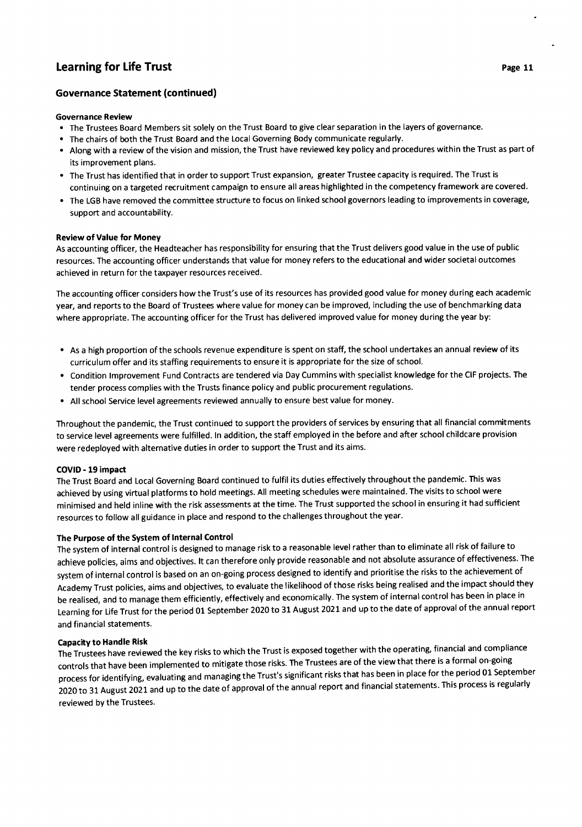#### Governance Review

- . The Trustees Board Members sit solely on the Trust Board to give clear separation in the layers of governance.
- . The chairs of both the Trust Board and the Local Governing Body communicate regularly.
- . Along with a review of the vision and mission, the Trust have reviewed key policy and procedures within the Trust as part of its improvement plans.
- The Trust has identified that in order to support Trust expansion, greater Trustee capacity is required. The Trust is continuing on a targeted recruitment campaign to ensure all areas highlighted in the competency framework are covered.
- . The LGB have removed the committee structure to focus on linked school governors leading to improvements in coverage, support and accountability.

#### Review of Value for Money

As accounting officer, the Headteacher has responsibility for ensuring that the Trust delivers good value in the use of public resources. The accounting officer understands that value for money refers to the educational and wider societal outcomes achieved in return for the taxpayer resources received.

The accounting officer considers how the Trust's use of its resources has provided good value for money during each academic year, and reports to the Board of Trustees where value for money can be improved, including the use of benchmarking data where appropriate. The accounting officer for the Trust has delivered improved value for money during the year by:

- As a high proportion of the schools revenue expenditure is spent on staff, the school undertakes an annual review of its curriculum offer and its staffing requirements to ensure it is appropriate for the size of school.
- Condition lmprovement Fund Contracts are tendered via Day Cummins with specialist knowledge for the CIF projects. The tender process complies with the Trusts finance policy and public procurement regulations.
- All school Service level agreements reviewed annually to ensure best value for money.

Throughout the pandemic, the Trust continued to support the providers of services by ensuring that all financial commitments to service level agreements were fulfilled. ln addition, the staff employed in the before and after school childcare provision were redeployed with alternative duties in order to support the Trust and its aims.

#### COVID - 19 impact

The Trust Board and Local Governing Board continued to fulfil its duties effectively throughout the pandemic. This was achieved by using virtual platforms to hold meetings. All meeting schedules were maintained. The visits to school were minimised and held inline with the risk assessments at the time. The Trust supported the school in ensuring it had sufficient resources to follow all guidance in place and respond to the challenges throughout the year.

#### The Purpose of the System of lnternal Control

The system of internal control is designed to manage risk to a reasonable level rather than to eliminate all risk of failure to achieve policies, aims and objectives. lt can therefore only provide reasonable and not absolute assurance of effectiveness. The system of internal control is based on an on-going process designed to identify and prioritise the risks to the achievement of Academy Trust policies, aims and objectives, to evaluate the likelihood of those risks being realised and the impact should they be realised, and to manage them efficiently, effectively and economically. The system of internal control has been in place in Learning for Life Trust for the period 01 September 2020 to 31 August 2021 and up to the date of approval of the annual report and financial statements.

#### Capacity to Handle Risk

The Trustees have reviewed the key risks to which the Trust is exposed together with the operating, financial and compliance controls that have been implemented to mitigate those risks. The Trustees are of the view that there is a formal on-going process for identifying, evaluating and managing the Trust's significant risks that has been in place for the period 01 september 2020 to 31 August 2021 and up to the date of approval of the annual report and financial statements. This process is regularly reviewed bY the Trustees.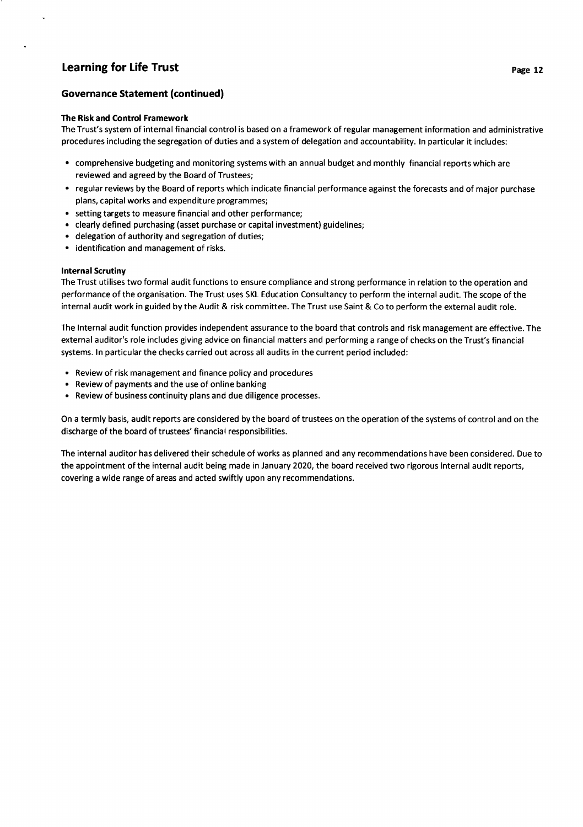#### Governa nce Statement (continued)

#### The Risk and Control Framework

The Trust's system of internal financial control is based on a framework of regular management information and administrative procedures including the segregation of duties and a system of delegation and accountability. ln particular it includes:

- . comprehensive budgeting and monitoring systems with an annual budget and monthly financial reports which are reviewed and agreed by the Board of Trustees;
- . regular reviews by the Board of reports which indicate financial performance against the forecasts and of major purchase plans, capital works and expendlture programmes;
- setting targets to measure financial and other performance;
- clearly defined purchasing (asset purchase or capital investment) guidelines;
- . delegation of authority and segregation of duties;
- . identification and management of risks.

#### lnternal Scrutiny

The Trust utilises two formal audit functions to ensure compliance and strong performance in relation to the operation and performance of the organisation. The Trust uses SKL Education Consultancy to perform the internal aud it. The scope of the internal audit work in guided by the Audit & risk committee. The Trust use Saint & Co to perform the external audit role.

The lnternal audit function provides independent assurance to the board that controls and risk management are effective. The external auditor's role includes giving advice on financial matters and performing a range of checks on the Trust's financial systems. ln particular the checks carried out across all audits in the current period included:

- . Review of risk management and finance policy and procedures
- Review of payments and the use of online banking
- . Review of business continuity plans and due diligence processes.

On a termly basis, audit reports are considered by the board of trustees on the operation of the systems of control and on the discharge of the board of trustees' financial responsibilities.

The internal auditor has delivered their schedule of works as planned and any recommendations have been considered. Due to the appointment of the internal audit being made in January 2020, the board received two rigorous internal audit reports, covering a wide range of areas and acted swiftly upon any recommendations.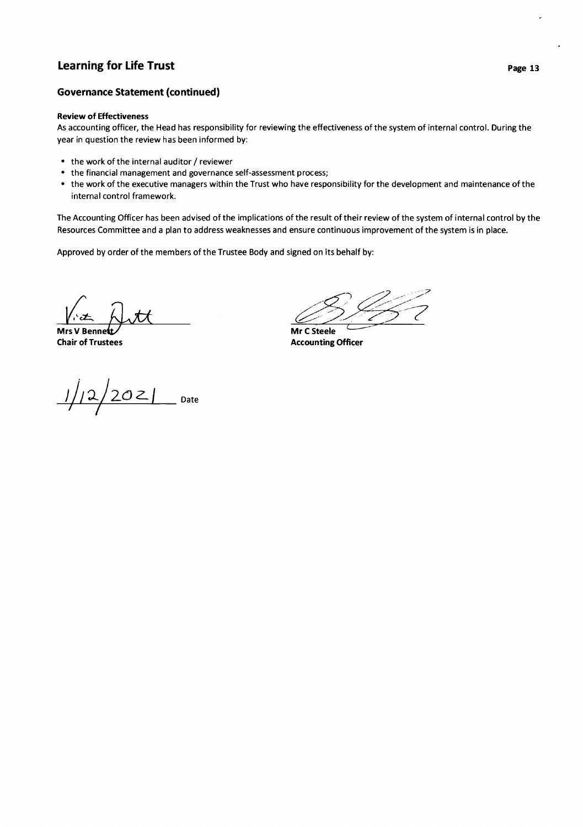#### Governance Statement (continued)

#### Review of Effectiveness

As accounting officer, the Head has responsibility for reviewing the effectiveness of the system of internal control. During the year in question the review has been informed by:

- . the work of the internal auditor / reviewer
- the financial management and governance self-assessment process;
- . the work of the executive managers within the Trust who have responsibility for the development and maintenance of the internal control framework.

The Accounting Officer has been advised of the implications of the result of their review of the system of internal control by the Resources Committee and a plan to address weaknesses and ensure continuous improvement of the system is in place.

Approved by order of the members of the Trustee Body and signed on its behalf by:

Mrs V Bennet **Chair of Trustees** 

**Accounting Officer** Mr C Steele

 $\frac{1}{2}$  2021 Date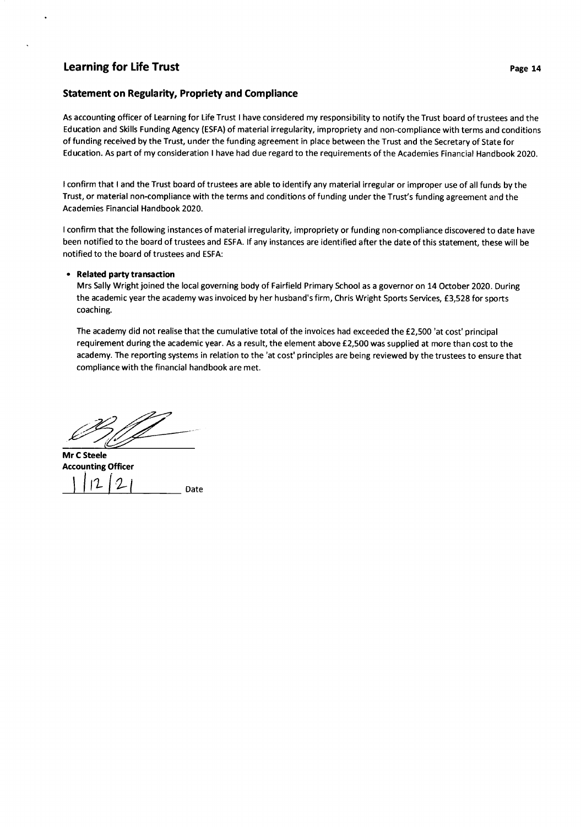#### Statement on Regularity, Propriety and Compliance

As accounting officer of Learning for Life Trust I have considered my responsibility to notify the Trust board oftrustees and the Education and Skills Funding Agency (ESFA) of material irregularity, impropriety and non-compliance with terms and conditions of funding received by the Trust, under the funding agreement in place between the Trust and the Secretary of State for Education. As part of my consideration I have had due regard to the requirements of the Academies Financial Handbook 2020.

<sup>I</sup>confirm that I and the Trust board of trustees are able to identify any material irregular or improper use of all funds by the Trust, or material non-compliance with the terms and conditions of funding under the Trust's funding agreement and the Academies Financial Handbook 2020.

<sup>I</sup>confirm that the following instances of material irregularity, impropriety or funding non-compliance discovered to date have been notified to the board of trustees and ESFA. lf any instances are identified after the date of this statement, these will be notified to the board of trustees and ESFA:

#### • Related party transaction

Mrs Sally Wright joined the local governing body of Fairfield Primary School as a governor on 14 October 2020. During the academic year the academy was invoiced by her husband's firm, Chris Wright Sports Services, £3,528 for sports coaching.

The academy did not realise that the cumulative total of the invoices had exceeded the £2,500 'at cost' principal requirement during the academic year. As a result, the element above £2,500 was supplied at more than cost to the academy. The reporting systems in relation to the 'at cost' principles are being reviewed by the trustees to ensure that compliance with the financial handbook are met.

Date Mr C Steele Accounting Officer l- $|12|21$